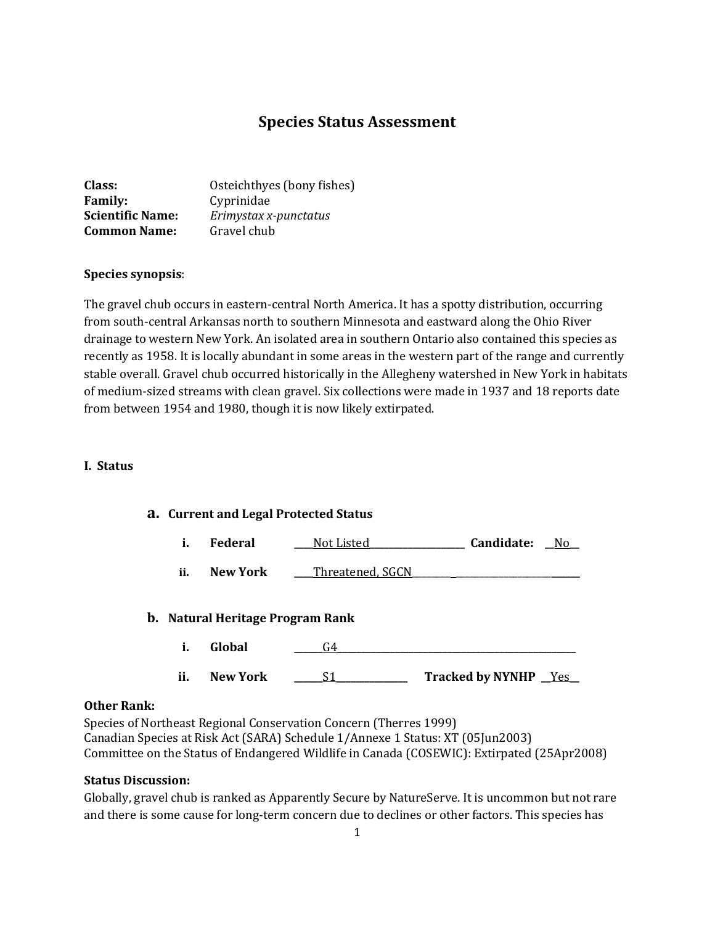# **Species Status Assessment**

| Class:                  | Osteichthyes (bony fishes) |
|-------------------------|----------------------------|
| <b>Family:</b>          | Cyprinidae                 |
| <b>Scientific Name:</b> | Erimystax x-punctatus      |
| <b>Common Name:</b>     | Gravel chub                |

#### **Species synopsis**:

The gravel chub occurs in eastern-central North America. It has a spotty distribution, occurring from south-central Arkansas north to southern Minnesota and eastward along the Ohio River drainage to western New York. An isolated area in southern Ontario also contained this species as recently as 1958. It is locally abundant in some areas in the western part of the range and currently stable overall. Gravel chub occurred historically in the Allegheny watershed in New York in habitats of medium-sized streams with clean gravel. Six collections were made in 1937 and 18 reports date from between 1954 and 1980, though it is now likely extirpated.

#### **I. Status**

# **a. Current and Legal Protected Status**

|  | <b>Federal</b> | Not Listed | Candidate: | No |
|--|----------------|------------|------------|----|
|--|----------------|------------|------------|----|

**ii. New York \_\_\_\_**Threatened, SGCN\_\_\_\_\_\_\_\_ \_\_\_\_\_\_\_\_\_\_\_\_\_\_\_\_\_\_\_\_**\_\_\_\_\_\_**

#### **b. Natural Heritage Program Rank**

- **i. Global \_\_\_\_\_\_**G4**\_\_\_\_\_\_\_\_\_\_\_\_\_\_\_\_\_\_\_\_\_\_\_\_\_\_\_\_\_\_\_\_\_\_\_\_\_\_\_\_\_\_\_\_\_\_\_\_\_\_**
- **ii. New York \_\_\_\_\_\_**S1**\_\_\_\_\_\_\_\_\_\_\_\_\_\_\_ Tracked by NYNHP \_\_**Yes**\_\_**

#### **Other Rank:**

Species of Northeast Regional Conservation Concern (Therres 1999) Canadian Species at Risk Act (SARA) Schedule 1/Annexe 1 Status: XT (05Jun2003) Committee on the Status of Endangered Wildlife in Canada (COSEWIC): Extirpated (25Apr2008)

#### **Status Discussion:**

Globally, gravel chub is ranked as Apparently Secure by NatureServe. It is uncommon but not rare and there is some cause for long-term concern due to declines or other factors. This species has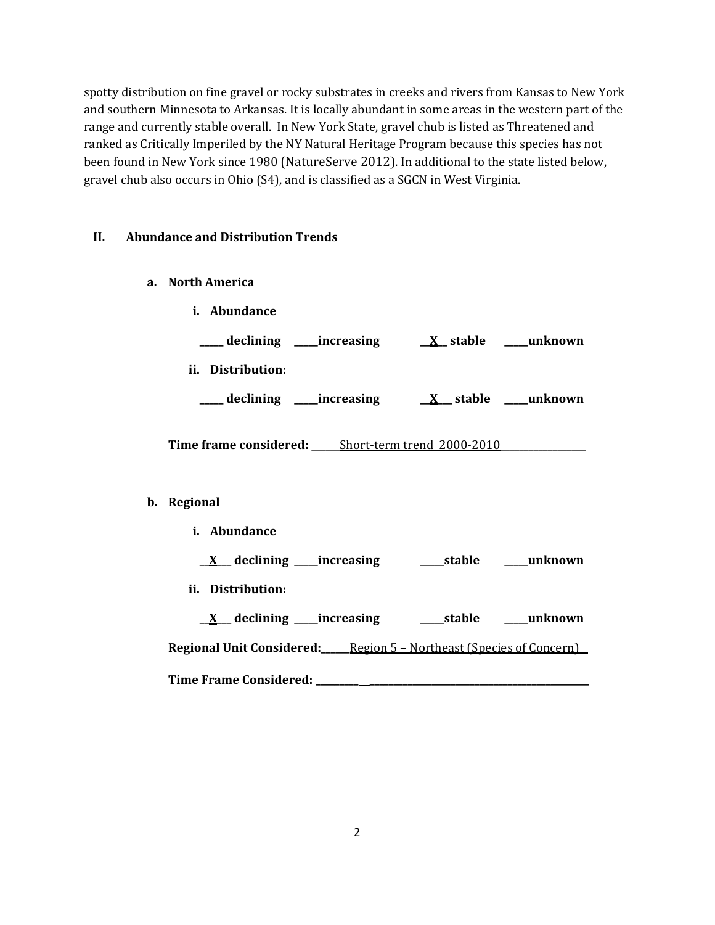spotty distribution on fine gravel or rocky substrates in creeks and rivers from Kansas to New York and southern Minnesota to Arkansas. It is locally abundant in some areas in the western part of the range and currently stable overall. In New York State, gravel chub is listed as Threatened and ranked as Critically Imperiled by the NY Natural Heritage Program because this species has not been found in New York since 1980 (NatureServe 2012). In additional to the state listed below, gravel chub also occurs in Ohio (S4), and is classified as a SGCN in West Virginia.

# **II. Abundance and Distribution Trends**

**a. North America**

| i.<br>Abundance                  |                                   |
|----------------------------------|-----------------------------------|
| declining ______increasing       | $\underline{X}$ stable<br>unknown |
| ii.<br>Distribution:             |                                   |
| $\_$ declining<br>____increasing | unknown<br>X stable               |

**Time frame considered: \_\_\_\_\_\_**Short-term trend 2000-2010**\_\_\_\_\_\_\_\_\_\_\_\_\_\_\_\_\_\_**

#### **b. Regional**

**i. Abundance**

**\_\_X\_\_\_ declining \_\_\_\_\_increasing \_\_\_\_\_stable \_\_\_\_\_unknown**

**ii. Distribution:**

**\_\_X\_\_\_ declining \_\_\_\_\_increasing \_\_\_\_\_stable \_\_\_\_\_unknown Regional Unit Considered:\_\_\_\_\_\_**Region 5 – Northeast (Species of Concern) **Time Frame Considered: \_\_\_\_\_\_\_\_\_ \_\_\_\_\_\_\_\_\_\_\_\_\_\_\_\_\_\_\_\_\_\_\_\_\_\_\_\_\_\_\_\_\_\_\_\_\_\_\_\_\_\_\_\_\_\_**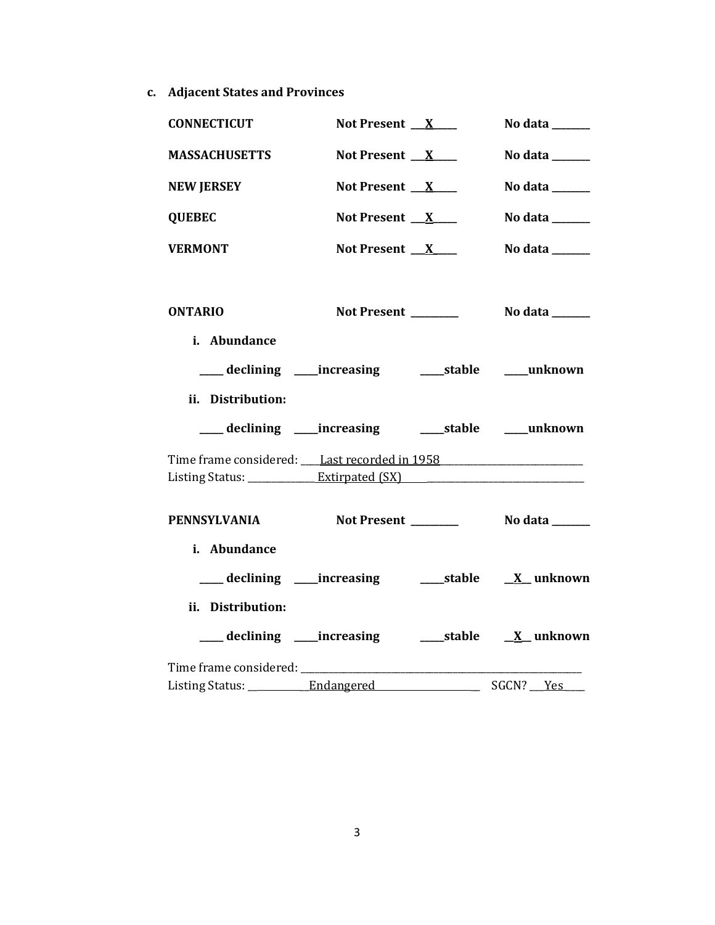**c. Adjacent States and Provinces**

| <b>CONNECTICUT</b>                                                               | Not Present $X$                                           |                          | No data ______                       |
|----------------------------------------------------------------------------------|-----------------------------------------------------------|--------------------------|--------------------------------------|
| <b>MASSACHUSETTS</b>                                                             | Not Present $X$                                           |                          | No data $\_\_\_\_\_\_\_\_\_\_\_\$    |
| <b>NEW JERSEY</b>                                                                | Not Present $X$                                           |                          | No data ______                       |
| <b>QUEBEC</b>                                                                    | Not Present $X$                                           |                          | No data $\_\_\_\_\_\_\_\_\_\_\_\$    |
| <b>VERMONT</b>                                                                   | Not Present X                                             |                          | No data ______                       |
|                                                                                  |                                                           |                          |                                      |
| <b>ONTARIO</b>                                                                   | Not Present                                               |                          | No data ______                       |
| i. Abundance                                                                     |                                                           |                          |                                      |
|                                                                                  |                                                           |                          |                                      |
| ii. Distribution:                                                                |                                                           |                          |                                      |
|                                                                                  | ___ declining ___ increasing ____ stable ____ unknown     |                          |                                      |
| Time frame considered: Last recorded in 1958                                     |                                                           |                          |                                      |
| Listing Status: _____________Extirpated (SX) ___________________________________ |                                                           |                          |                                      |
| <b>PENNSYLVANIA</b>                                                              |                                                           |                          | Not Present _________ No data ______ |
| i. Abundance                                                                     |                                                           |                          |                                      |
|                                                                                  | ___ declining ____increasing ______stable _____X_unknown  |                          |                                      |
| ii. Distribution:                                                                |                                                           |                          |                                      |
|                                                                                  | ___ declining ____increasing ______stable ______X_unknown |                          |                                      |
|                                                                                  |                                                           |                          |                                      |
| Listing Status: ___________ Endangered                                           |                                                           | $\overline{\phantom{a}}$ | SGCN? Yes                            |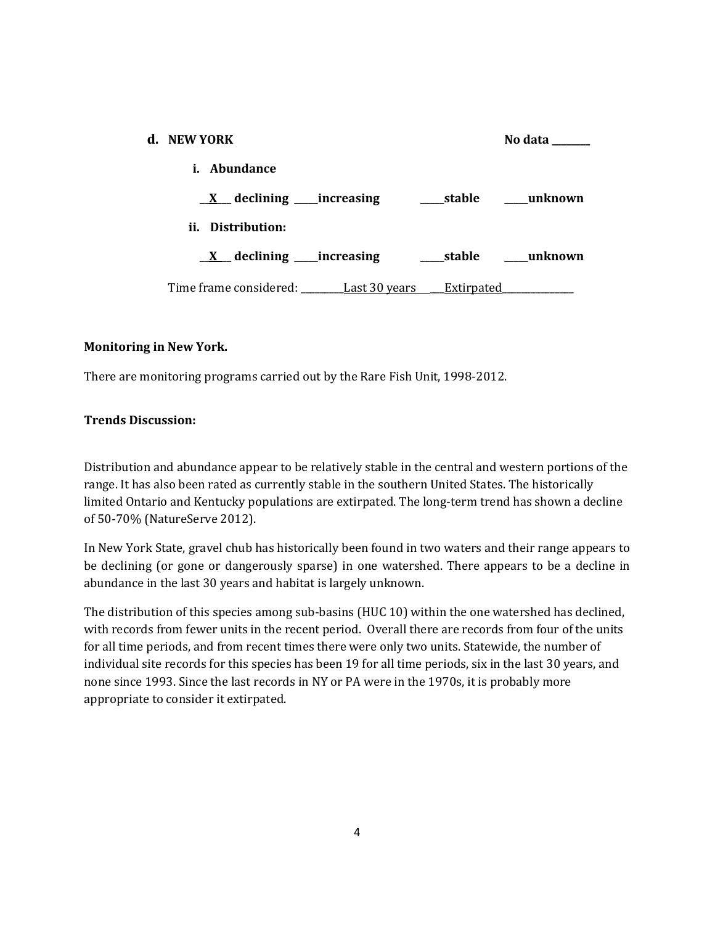| d. NEW YORK                                               | No data |
|-----------------------------------------------------------|---------|
| Abundance<br>i.                                           |         |
| $\underline{X}$ declining _____increasing<br>stable       | unknown |
| ii. Distribution:                                         |         |
| $\underline{X}$ declining _____increasing<br>____stable   | unknown |
| Time frame considered: Last 30 years<br><b>Extirpated</b> |         |

# **Monitoring in New York.**

There are monitoring programs carried out by the Rare Fish Unit, 1998-2012.

### **Trends Discussion:**

Distribution and abundance appear to be relatively stable in the central and western portions of the range. It has also been rated as currently stable in the southern United States. The historically limited Ontario and Kentucky populations are extirpated. The long-term trend has shown a decline of 50-70% (NatureServe 2012).

In New York State, gravel chub has historically been found in two waters and their range appears to be declining (or gone or dangerously sparse) in one watershed. There appears to be a decline in abundance in the last 30 years and habitat is largely unknown.

The distribution of this species among sub-basins (HUC 10) within the one watershed has declined, with records from fewer units in the recent period. Overall there are records from four of the units for all time periods, and from recent times there were only two units. Statewide, the number of individual site records for this species has been 19 for all time periods, six in the last 30 years, and none since 1993. Since the last records in NY or PA were in the 1970s, it is probably more appropriate to consider it extirpated.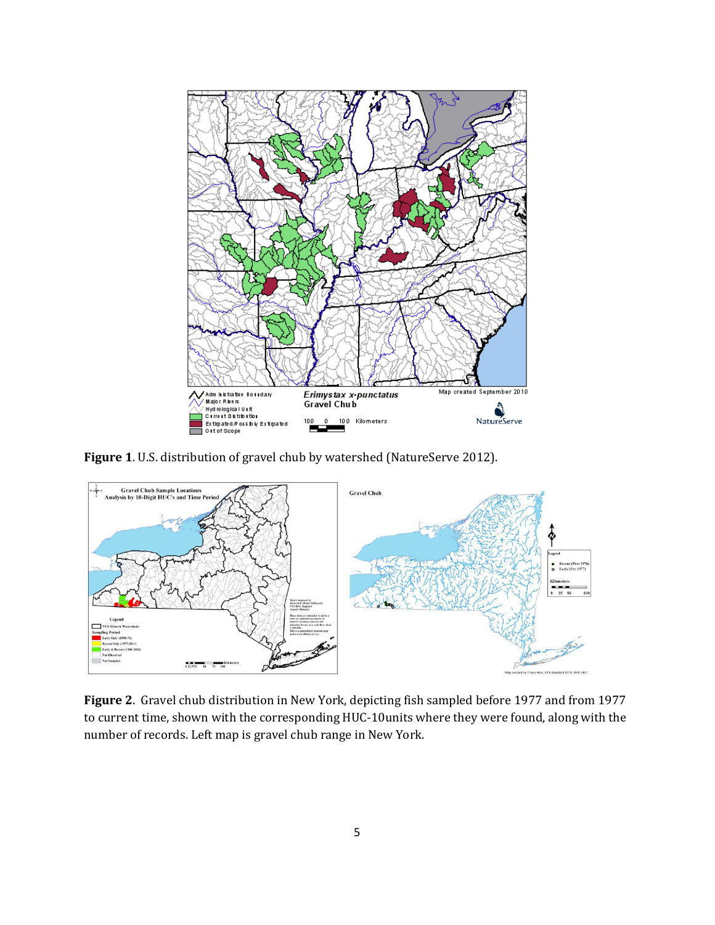

**Figure 1**. U.S. distribution of gravel chub by watershed (NatureServe 2012).



**Figure 2**. Gravel chub distribution in New York, depicting fish sampled before 1977 and from 1977 to current time, shown with the corresponding HUC-10units where they were found, along with the number of records. Left map is gravel chub range in New York.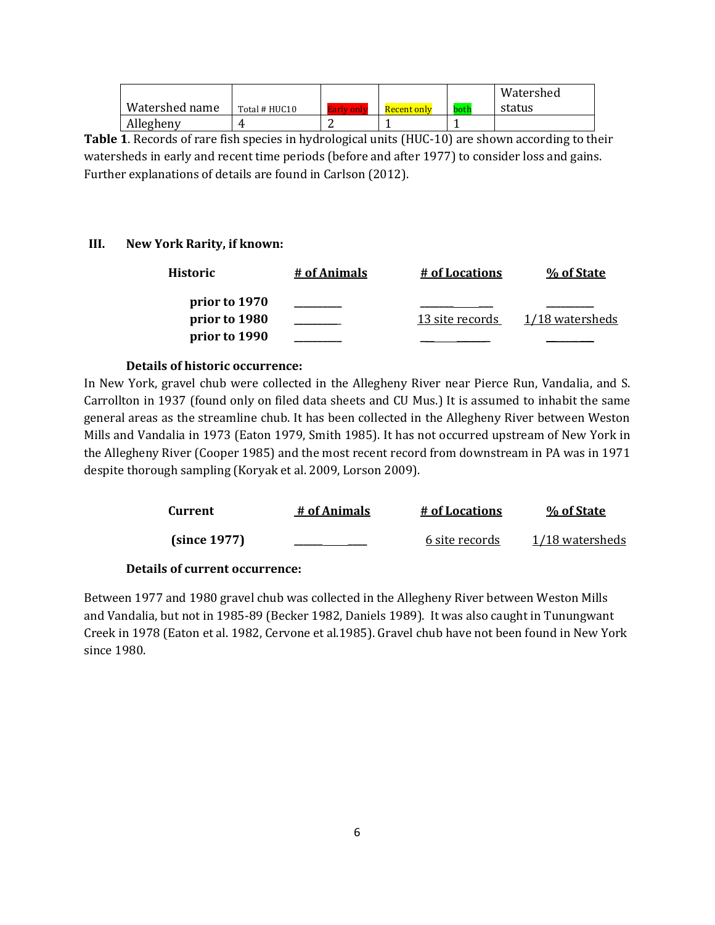|                |               |             |      | Watershed |
|----------------|---------------|-------------|------|-----------|
| Watershed name | Total # HUC10 | Recent only | both | status    |
| Allegheny      |               |             |      |           |

**Table 1**. Records of rare fish species in hydrological units (HUC-10) are shown according to their watersheds in early and recent time periods (before and after 1977) to consider loss and gains. Further explanations of details are found in Carlson (2012).

# **III. New York Rarity, if known:**

| Historic      | # of Animals | # of Locations  | % of State      |
|---------------|--------------|-----------------|-----------------|
| prior to 1970 |              |                 |                 |
| prior to 1980 |              | 13 site records | 1/18 watersheds |
| prior to 1990 |              |                 |                 |

#### **Details of historic occurrence:**

In New York, gravel chub were collected in the Allegheny River near Pierce Run, Vandalia, and S. Carrollton in 1937 (found only on filed data sheets and CU Mus.) It is assumed to inhabit the same general areas as the streamline chub. It has been collected in the Allegheny River between Weston Mills and Vandalia in 1973 (Eaton 1979, Smith 1985). It has not occurred upstream of New York in the Allegheny River (Cooper 1985) and the most recent record from downstream in PA was in 1971 despite thorough sampling (Koryak et al. 2009, Lorson 2009).

| Current      | # of Animals | # of Locations | % of State      |
|--------------|--------------|----------------|-----------------|
| (since 1977) |              | 6 site records | 1/18 watersheds |

#### **Details of current occurrence:**

Between 1977 and 1980 gravel chub was collected in the Allegheny River between Weston Mills and Vandalia, but not in 1985-89 (Becker 1982, Daniels 1989). It was also caught in Tunungwant Creek in 1978 (Eaton et al. 1982, Cervone et al.1985). Gravel chub have not been found in New York since 1980.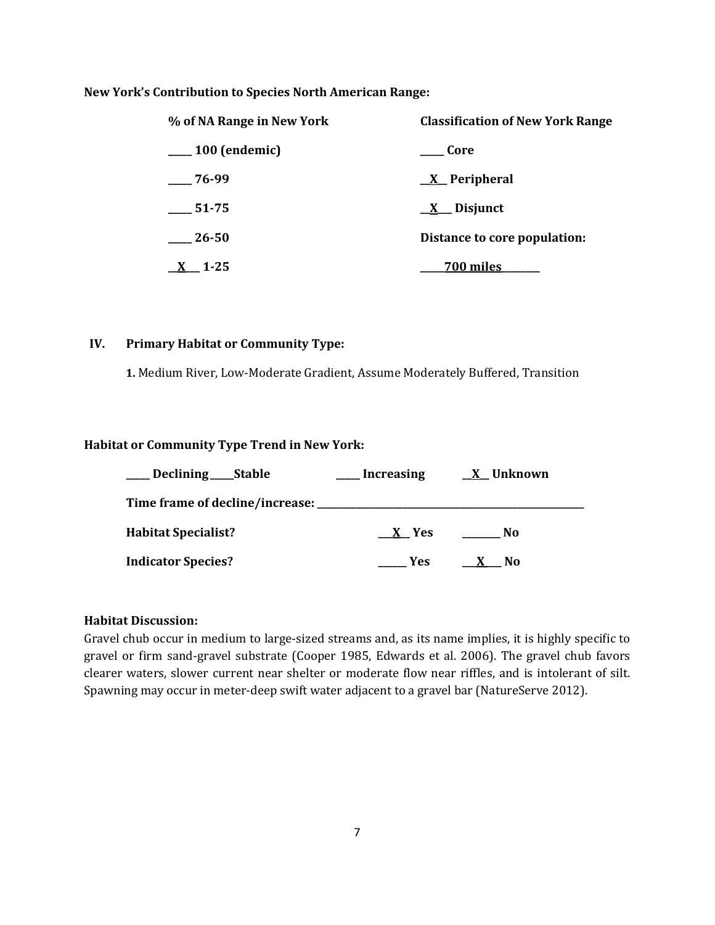#### **New York's Contribution to Species North American Range:**

| % of NA Range in New York | <b>Classification of New York Range</b> |  |
|---------------------------|-----------------------------------------|--|
| $\sim$ 100 (endemic)      | Core                                    |  |
| $-76-99$                  | <u>X</u> Peripheral                     |  |
| 51-75                     | $\underline{X}$ Disjunct                |  |
| 26-50                     | Distance to core population:            |  |
| $1 - 25$                  | <b>700 miles</b>                        |  |

#### **IV. Primary Habitat or Community Type:**

 **1.** Medium River, Low-Moderate Gradient, Assume Moderately Buffered, Transition

#### **Habitat or Community Type Trend in New York:**

| Declining ______ Stable             | <b>Increasing</b> | <u>X</u> Unknown |
|-------------------------------------|-------------------|------------------|
| Time frame of decline/increase: ___ |                   |                  |
| <b>Habitat Specialist?</b>          | X Yes             | No.              |
| <b>Indicator Species?</b>           | Yes.              | No.<br>$\lambda$ |

### **Habitat Discussion:**

Gravel chub occur in medium to large-sized streams and, as its name implies, it is highly specific to gravel or firm sand-gravel substrate (Cooper 1985, Edwards et al. 2006). The gravel chub favors clearer waters, slower current near shelter or moderate flow near riffles, and is intolerant of silt. Spawning may occur in meter-deep swift water adjacent to a gravel bar (NatureServe 2012).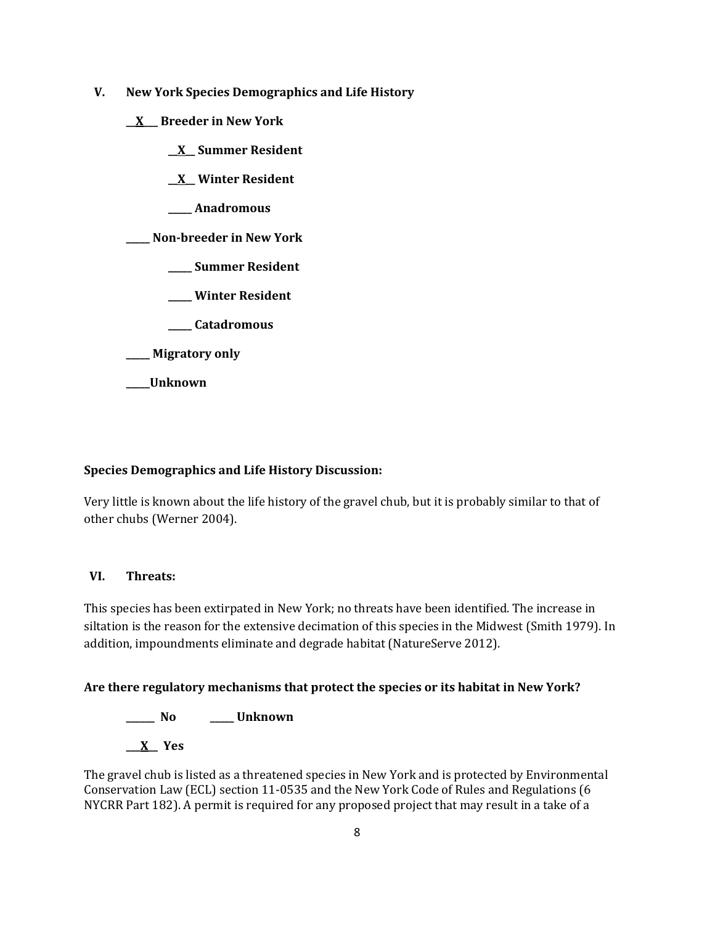- **V. New York Species Demographics and Life History**
	- **\_\_X\_\_\_ Breeder in New York**
		- **\_\_X\_\_ Summer Resident**
		- **\_\_X\_\_ Winter Resident**
		- **\_\_\_\_\_ Anadromous**

**\_\_\_\_\_ Non-breeder in New York**

- **\_\_\_\_\_ Summer Resident**
- **\_\_\_\_\_ Winter Resident**
- **\_\_\_\_\_ Catadromous**

**\_\_\_\_\_ Migratory only**

**\_\_\_\_\_Unknown**

# **Species Demographics and Life History Discussion:**

Very little is known about the life history of the gravel chub, but it is probably similar to that of other chubs (Werner 2004).

# **VI. Threats:**

This species has been extirpated in New York; no threats have been identified. The increase in siltation is the reason for the extensive decimation of this species in the Midwest (Smith 1979). In addition, impoundments eliminate and degrade habitat (NatureServe 2012).

# **Are there regulatory mechanisms that protect the species or its habitat in New York?**

**\_\_\_\_\_\_ No \_\_\_\_\_ Unknown \_\_\_X\_\_ Yes** 

The gravel chub is listed as a threatened species in New York and is protected by Environmental Conservation Law (ECL) section 11-0535 and the New York Code of Rules and Regulations (6 NYCRR Part 182). A permit is required for any proposed project that may result in a take of a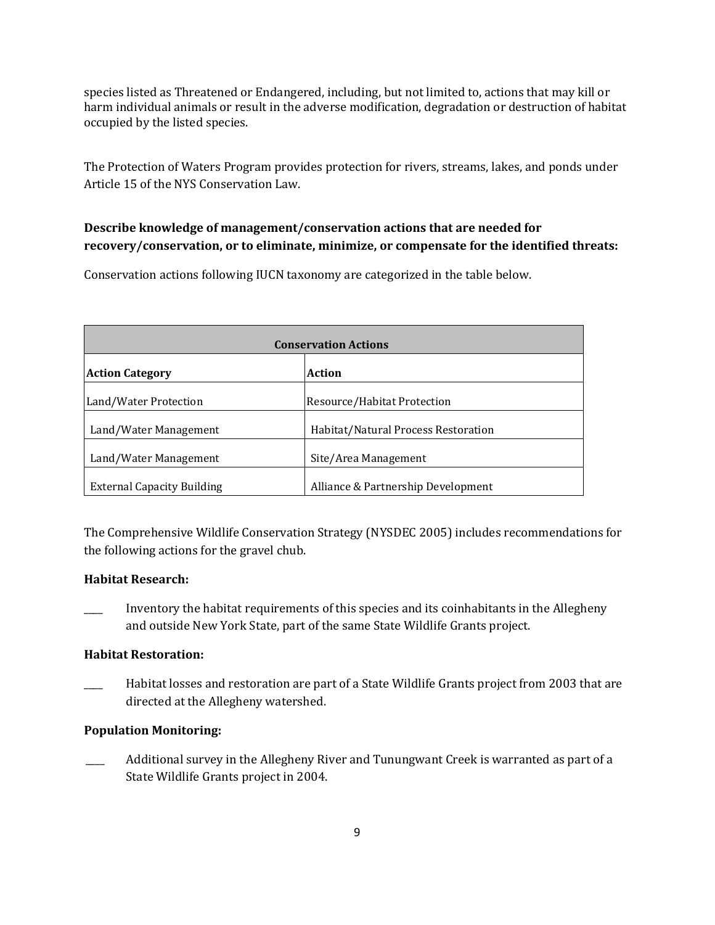species listed as Threatened or Endangered, including, but not limited to, actions that may kill or harm individual animals or result in the adverse modification, degradation or destruction of habitat occupied by the listed species.

The Protection of Waters Program provides protection for rivers, streams, lakes, and ponds under Article 15 of the NYS Conservation Law.

# **Describe knowledge of management/conservation actions that are needed for recovery/conservation, or to eliminate, minimize, or compensate for the identified threats:**

Conservation actions following IUCN taxonomy are categorized in the table below.

| <b>Conservation Actions</b>       |                                     |  |
|-----------------------------------|-------------------------------------|--|
| Action<br><b>Action Category</b>  |                                     |  |
| Land/Water Protection             | Resource/Habitat Protection         |  |
| Land/Water Management             | Habitat/Natural Process Restoration |  |
| Land/Water Management             | Site/Area Management                |  |
| <b>External Capacity Building</b> | Alliance & Partnership Development  |  |

The Comprehensive Wildlife Conservation Strategy (NYSDEC 2005) includes recommendations for the following actions for the gravel chub.

# **Habitat Research:**

\_\_\_\_ Inventory the habitat requirements of this species and its coinhabitants in the Allegheny and outside New York State, part of the same State Wildlife Grants project.

# **Habitat Restoration:**

Habitat losses and restoration are part of a State Wildlife Grants project from 2003 that are directed at the Allegheny watershed.

# **Population Monitoring:**

Additional survey in the Allegheny River and Tunungwant Creek is warranted as part of a State Wildlife Grants project in 2004.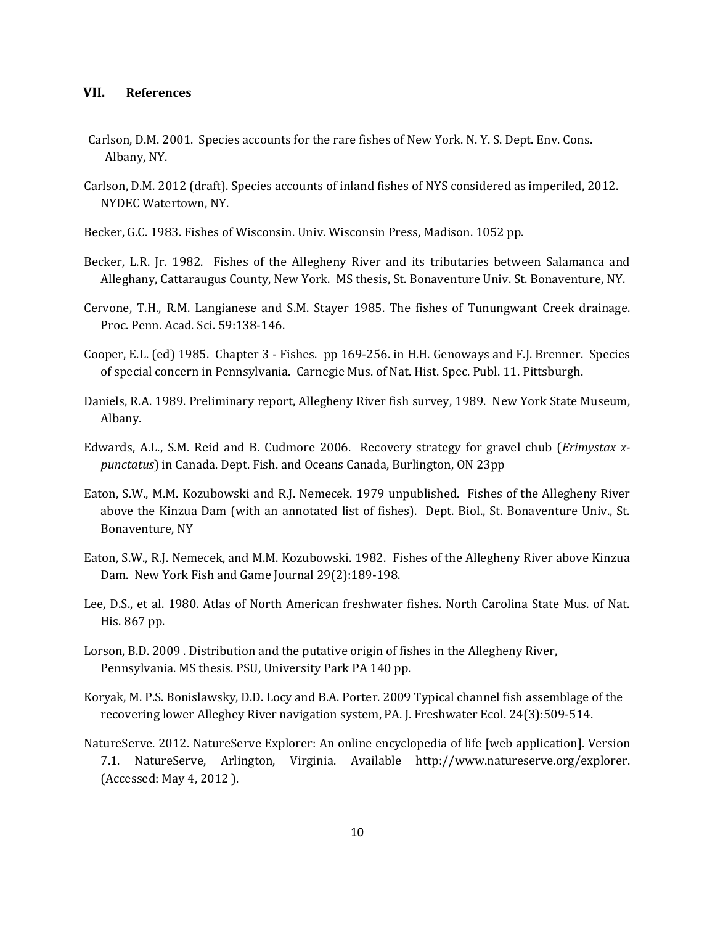#### **VII. References**

- Carlson, D.M. 2001. Species accounts for the rare fishes of New York. N. Y. S. Dept. Env. Cons. Albany, NY.
- Carlson, D.M. 2012 (draft). Species accounts of inland fishes of NYS considered as imperiled, 2012. NYDEC Watertown, NY.
- Becker, G.C. 1983. Fishes of Wisconsin. Univ. Wisconsin Press, Madison. 1052 pp.
- Becker, L.R. Jr. 1982. Fishes of the Allegheny River and its tributaries between Salamanca and Alleghany, Cattaraugus County, New York. MS thesis, St. Bonaventure Univ. St. Bonaventure, NY.
- Cervone, T.H., R.M. Langianese and S.M. Stayer 1985. The fishes of Tunungwant Creek drainage. Proc. Penn. Acad. Sci. 59:138-146.
- Cooper, E.L. (ed) 1985. Chapter 3 Fishes. pp 169-256. in H.H. Genoways and F.J. Brenner. Species of special concern in Pennsylvania. Carnegie Mus. of Nat. Hist. Spec. Publ. 11. Pittsburgh.
- Daniels, R.A. 1989. Preliminary report, Allegheny River fish survey, 1989. New York State Museum, Albany.
- Edwards, A.L., S.M. Reid and B. Cudmore 2006. Recovery strategy for gravel chub (*Erimystax xpunctatus*) in Canada. Dept. Fish. and Oceans Canada, Burlington, ON 23pp
- Eaton, S.W., M.M. Kozubowski and R.J. Nemecek. 1979 unpublished. Fishes of the Allegheny River above the Kinzua Dam (with an annotated list of fishes). Dept. Biol., St. Bonaventure Univ., St. Bonaventure, NY
- Eaton, S.W., R.J. Nemecek, and M.M. Kozubowski. 1982. Fishes of the Allegheny River above Kinzua Dam. New York Fish and Game Journal 29(2):189-198.
- Lee, D.S., et al. 1980. Atlas of North American freshwater fishes. North Carolina State Mus. of Nat. His. 867 pp.
- Lorson, B.D. 2009 . Distribution and the putative origin of fishes in the Allegheny River, Pennsylvania. MS thesis. PSU, University Park PA 140 pp.
- Koryak, M. P.S. Bonislawsky, D.D. Locy and B.A. Porter. 2009 Typical channel fish assemblage of the recovering lower Alleghey River navigation system, PA. J. Freshwater Ecol. 24(3):509-514.
- NatureServe. 2012. NatureServe Explorer: An online encyclopedia of life [web application]. Version 7.1. NatureServe, Arlington, Virginia. Available http://www.natureserve.org/explorer. (Accessed: May 4, 2012 ).